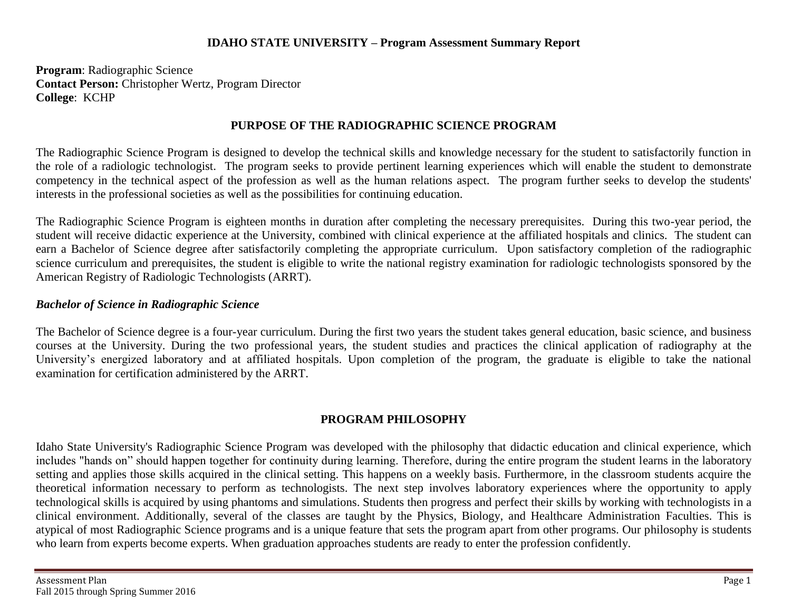#### **IDAHO STATE UNIVERSITY – Program Assessment Summary Report**

**Program**: Radiographic Science **Contact Person:** Christopher Wertz, Program Director **College**: KCHP

### **PURPOSE OF THE RADIOGRAPHIC SCIENCE PROGRAM**

The Radiographic Science Program is designed to develop the technical skills and knowledge necessary for the student to satisfactorily function in the role of a radiologic technologist. The program seeks to provide pertinent learning experiences which will enable the student to demonstrate competency in the technical aspect of the profession as well as the human relations aspect. The program further seeks to develop the students' interests in the professional societies as well as the possibilities for continuing education.

The Radiographic Science Program is eighteen months in duration after completing the necessary prerequisites. During this two-year period, the student will receive didactic experience at the University, combined with clinical experience at the affiliated hospitals and clinics. The student can earn a Bachelor of Science degree after satisfactorily completing the appropriate curriculum. Upon satisfactory completion of the radiographic science curriculum and prerequisites, the student is eligible to write the national registry examination for radiologic technologists sponsored by the American Registry of Radiologic Technologists (ARRT).

#### *Bachelor of Science in Radiographic Science*

The Bachelor of Science degree is a four-year curriculum. During the first two years the student takes general education, basic science, and business courses at the University. During the two professional years, the student studies and practices the clinical application of radiography at the University's energized laboratory and at affiliated hospitals. Upon completion of the program, the graduate is eligible to take the national examination for certification administered by the ARRT.

## **PROGRAM PHILOSOPHY**

Idaho State University's Radiographic Science Program was developed with the philosophy that didactic education and clinical experience, which includes "hands on" should happen together for continuity during learning. Therefore, during the entire program the student learns in the laboratory setting and applies those skills acquired in the clinical setting. This happens on a weekly basis. Furthermore, in the classroom students acquire the theoretical information necessary to perform as technologists. The next step involves laboratory experiences where the opportunity to apply technological skills is acquired by using phantoms and simulations. Students then progress and perfect their skills by working with technologists in a clinical environment. Additionally, several of the classes are taught by the Physics, Biology, and Healthcare Administration Faculties. This is atypical of most Radiographic Science programs and is a unique feature that sets the program apart from other programs. Our philosophy is students who learn from experts become experts. When graduation approaches students are ready to enter the profession confidently.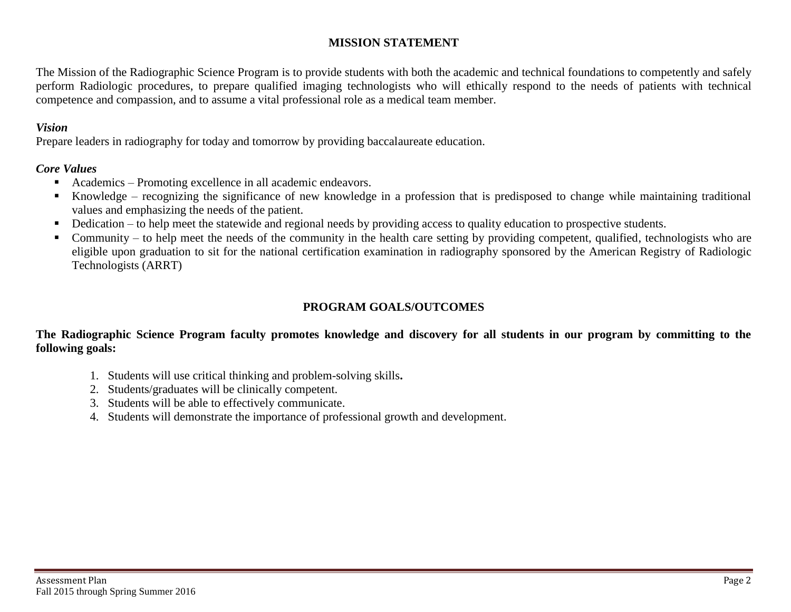## **MISSION STATEMENT**

The Mission of the Radiographic Science Program is to provide students with both the academic and technical foundations to competently and safely perform Radiologic procedures, to prepare qualified imaging technologists who will ethically respond to the needs of patients with technical competence and compassion, and to assume a vital professional role as a medical team member.

### *Vision*

Prepare leaders in radiography for today and tomorrow by providing baccalaureate education.

### *Core Values*

- Academics Promoting excellence in all academic endeavors.
- Knowledge recognizing the significance of new knowledge in a profession that is predisposed to change while maintaining traditional values and emphasizing the needs of the patient.
- Dedication to help meet the statewide and regional needs by providing access to quality education to prospective students.
- Community to help meet the needs of the community in the health care setting by providing competent, qualified, technologists who are eligible upon graduation to sit for the national certification examination in radiography sponsored by the American Registry of Radiologic Technologists (ARRT)

# **PROGRAM GOALS/OUTCOMES**

### **The Radiographic Science Program faculty promotes knowledge and discovery for all students in our program by committing to the following goals:**

- 1. Students will use critical thinking and problem-solving skills**.**
- 2. Students/graduates will be clinically competent.
- 3. Students will be able to effectively communicate.
- 4. Students will demonstrate the importance of professional growth and development.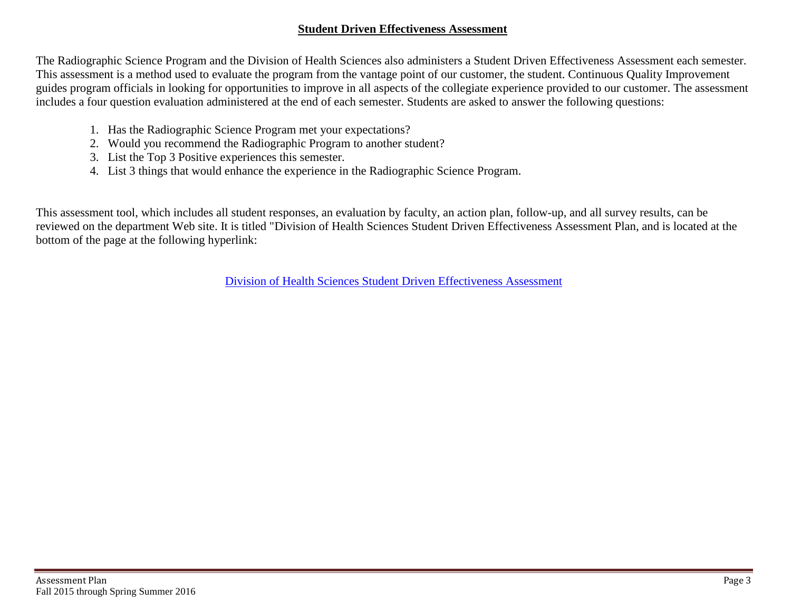#### **Student Driven Effectiveness Assessment**

The Radiographic Science Program and the Division of Health Sciences also administers a Student Driven Effectiveness Assessment each semester. This assessment is a method used to evaluate the program from the vantage point of our customer, the student. Continuous Quality Improvement guides program officials in looking for opportunities to improve in all aspects of the collegiate experience provided to our customer. The assessment includes a four question evaluation administered at the end of each semester. Students are asked to answer the following questions:

- 1. Has the Radiographic Science Program met your expectations?
- 2. Would you recommend the Radiographic Program to another student?
- 3. List the Top 3 Positive experiences this semester.
- 4. List 3 things that would enhance the experience in the Radiographic Science Program.

This assessment tool, which includes all student responses, an evaluation by faculty, an action plan, follow-up, and all survey results, can be reviewed on the department Web site. It is titled "Division of Health Sciences Student Driven Effectiveness Assessment Plan, and is located at the bottom of the page at the following hyperlink:

[Division of Health Sciences Student Driven Effectiveness](http://www.isu.edu/radsci/admindata.shtml) Assessment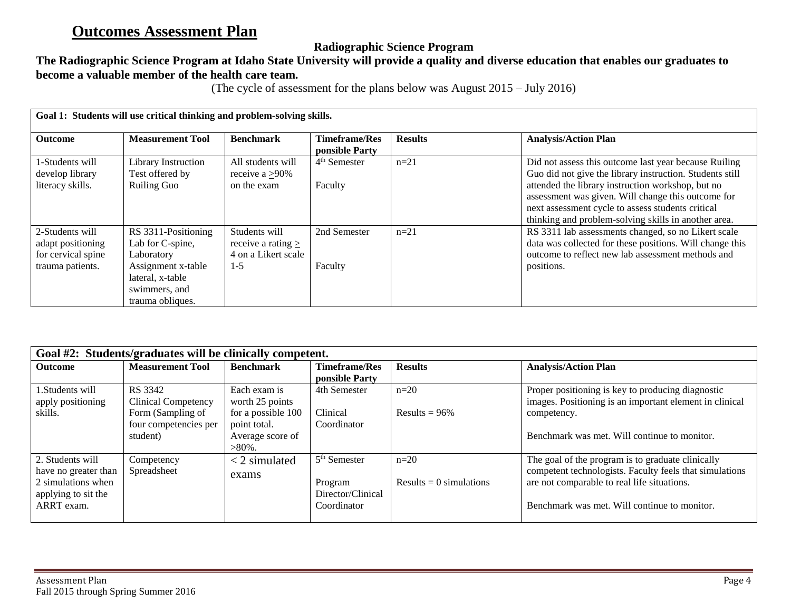# **Outcomes Assessment Plan**

# **Radiographic Science Program**

# **The Radiographic Science Program at Idaho State University will provide a quality and diverse education that enables our graduates to become a valuable member of the health care team.**

(The cycle of assessment for the plans below was August 2015 – July 2016)

| Goal 1: Students will use critical thinking and problem-solving skills. |                                                                             |                                                                |                                        |                |                                                                                                                                                                                                                      |  |
|-------------------------------------------------------------------------|-----------------------------------------------------------------------------|----------------------------------------------------------------|----------------------------------------|----------------|----------------------------------------------------------------------------------------------------------------------------------------------------------------------------------------------------------------------|--|
| <b>Outcome</b>                                                          | <b>Measurement Tool</b>                                                     | <b>Benchmark</b>                                               | <b>Timeframe/Res</b><br>ponsible Party | <b>Results</b> | <b>Analysis/Action Plan</b>                                                                                                                                                                                          |  |
| 1-Students will<br>develop library                                      | Library Instruction<br>Test offered by                                      | All students will<br>receive a $\geq$ 90%                      | $4th$ Semester                         | $n=21$         | Did not assess this outcome last year because Ruiling<br>Guo did not give the library instruction. Students still                                                                                                    |  |
| literacy skills.                                                        | <b>Ruiling Guo</b>                                                          | on the exam                                                    | Faculty                                |                | attended the library instruction workshop, but no<br>assessment was given. Will change this outcome for<br>next assessment cycle to assess students critical<br>thinking and problem-solving skills in another area. |  |
| 2-Students will<br>adapt positioning<br>for cervical spine              | RS 3311-Positioning<br>Lab for C-spine,<br>Laboratory                       | Students will<br>receive a rating $\ge$<br>4 on a Likert scale | 2nd Semester                           | $n=21$         | RS 3311 lab assessments changed, so no Likert scale<br>data was collected for these positions. Will change this<br>outcome to reflect new lab assessment methods and                                                 |  |
| trauma patients.                                                        | Assignment x-table<br>lateral, x-table<br>swimmers, and<br>trauma obliques. | $1 - 5$                                                        | Faculty                                |                | positions.                                                                                                                                                                                                           |  |

| Goal #2: Students/graduates will be clinically competent. |                            |                    |                      |                         |                                                         |  |
|-----------------------------------------------------------|----------------------------|--------------------|----------------------|-------------------------|---------------------------------------------------------|--|
| <b>Outcome</b>                                            | <b>Measurement Tool</b>    | <b>Benchmark</b>   | <b>Timeframe/Res</b> | <b>Results</b>          | <b>Analysis/Action Plan</b>                             |  |
|                                                           |                            |                    | ponsible Party       |                         |                                                         |  |
| 1.Students will                                           | RS 3342                    | Each exam is       | 4th Semester         | $n=20$                  | Proper positioning is key to producing diagnostic       |  |
| apply positioning                                         | <b>Clinical Competency</b> | worth 25 points    |                      |                         | images. Positioning is an important element in clinical |  |
| skills.                                                   | Form (Sampling of          | for a possible 100 | Clinical             | Results = $96\%$        | competency.                                             |  |
|                                                           | four competencies per      | point total.       | Coordinator          |                         |                                                         |  |
|                                                           | student)                   | Average score of   |                      |                         | Benchmark was met. Will continue to monitor.            |  |
|                                                           |                            | $>80\%$ .          |                      |                         |                                                         |  |
| 2. Students will                                          | Competency                 | $<$ 2 simulated    | $5th$ Semester       | $n=20$                  | The goal of the program is to graduate clinically       |  |
| have no greater than                                      | Spreadsheet                | exams              |                      |                         | competent technologists. Faculty feels that simulations |  |
| 2 simulations when                                        |                            |                    | Program              | Results = 0 simulations | are not comparable to real life situations.             |  |
| applying to sit the                                       |                            |                    | Director/Clinical    |                         |                                                         |  |
| ARRT exam.                                                |                            |                    | Coordinator          |                         | Benchmark was met. Will continue to monitor.            |  |
|                                                           |                            |                    |                      |                         |                                                         |  |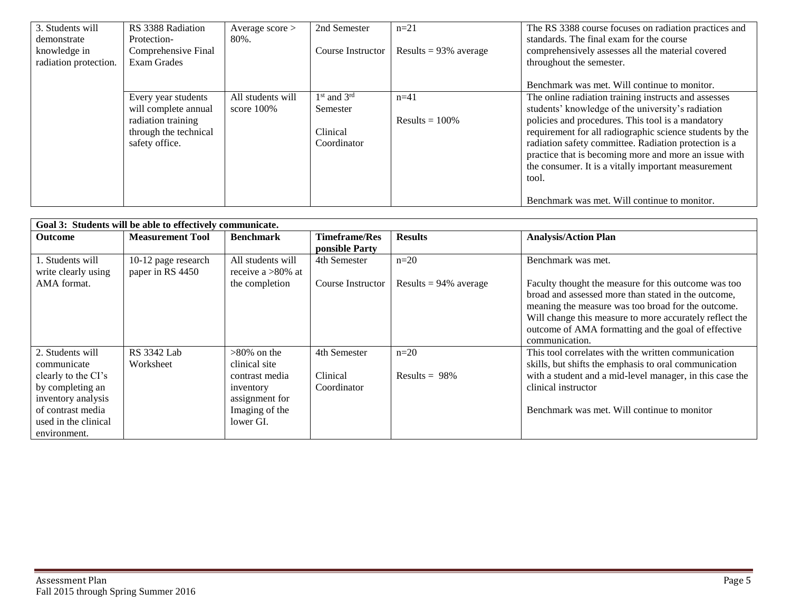| 3. Students will      | RS 3388 Radiation     | Average $score$   | 2nd Semester      | $n=21$                   | The RS 3388 course focuses on radiation practices and    |
|-----------------------|-----------------------|-------------------|-------------------|--------------------------|----------------------------------------------------------|
| demonstrate           | Protection-           | 80%.              |                   |                          | standards. The final exam for the course                 |
| knowledge in          | Comprehensive Final   |                   | Course Instructor | Results = $93\%$ average | comprehensively assesses all the material covered        |
| radiation protection. | <b>Exam Grades</b>    |                   |                   |                          | throughout the semester.                                 |
|                       |                       |                   |                   |                          |                                                          |
|                       |                       |                   |                   |                          | Benchmark was met. Will continue to monitor.             |
|                       | Every year students   | All students will | $1st$ and $3rd$   | $n=41$                   | The online radiation training instructs and assesses     |
|                       | will complete annual  | score $100\%$     | Semester          |                          | students' knowledge of the university's radiation        |
|                       | radiation training    |                   |                   | Results $= 100\%$        | policies and procedures. This tool is a mandatory        |
|                       | through the technical |                   | Clinical          |                          | requirement for all radiographic science students by the |
|                       | safety office.        |                   | Coordinator       |                          | radiation safety committee. Radiation protection is a    |
|                       |                       |                   |                   |                          | practice that is becoming more and more an issue with    |
|                       |                       |                   |                   |                          | the consumer. It is a vitally important measurement      |
|                       |                       |                   |                   |                          | tool.                                                    |
|                       |                       |                   |                   |                          |                                                          |
|                       |                       |                   |                   |                          | Benchmark was met. Will continue to monitor.             |

| Goal 3: Students will be able to effectively communicate. |                         |                      |                      |                          |                                                          |  |
|-----------------------------------------------------------|-------------------------|----------------------|----------------------|--------------------------|----------------------------------------------------------|--|
| <b>Outcome</b>                                            | <b>Measurement Tool</b> | <b>Benchmark</b>     | <b>Timeframe/Res</b> | <b>Results</b>           | <b>Analysis/Action Plan</b>                              |  |
|                                                           |                         |                      | ponsible Party       |                          |                                                          |  |
| 1. Students will                                          | 10-12 page research     | All students will    | 4th Semester         | $n=20$                   | Benchmark was met.                                       |  |
| write clearly using                                       | paper in RS 4450        | receive a $>80\%$ at |                      |                          |                                                          |  |
| AMA format.                                               |                         | the completion       | Course Instructor    | Results = $94\%$ average | Faculty thought the measure for this outcome was too     |  |
|                                                           |                         |                      |                      |                          | broad and assessed more than stated in the outcome,      |  |
|                                                           |                         |                      |                      |                          | meaning the measure was too broad for the outcome.       |  |
|                                                           |                         |                      |                      |                          | Will change this measure to more accurately reflect the  |  |
|                                                           |                         |                      |                      |                          | outcome of AMA formatting and the goal of effective      |  |
|                                                           |                         |                      |                      |                          | communication.                                           |  |
| 2. Students will                                          | <b>RS</b> 3342 Lab      | $>80\%$ on the       | 4th Semester         | $n=20$                   | This tool correlates with the written communication      |  |
| communicate                                               | Worksheet               | clinical site        |                      |                          | skills, but shifts the emphasis to oral communication    |  |
| clearly to the CI's                                       |                         | contrast media       | Clinical             | Results = $98\%$         | with a student and a mid-level manager, in this case the |  |
| by completing an                                          |                         | inventory            | Coordinator          |                          | clinical instructor                                      |  |
| inventory analysis                                        |                         | assignment for       |                      |                          |                                                          |  |
| of contrast media                                         |                         | Imaging of the       |                      |                          | Benchmark was met. Will continue to monitor              |  |
| used in the clinical                                      |                         | lower GI.            |                      |                          |                                                          |  |
| environment.                                              |                         |                      |                      |                          |                                                          |  |

E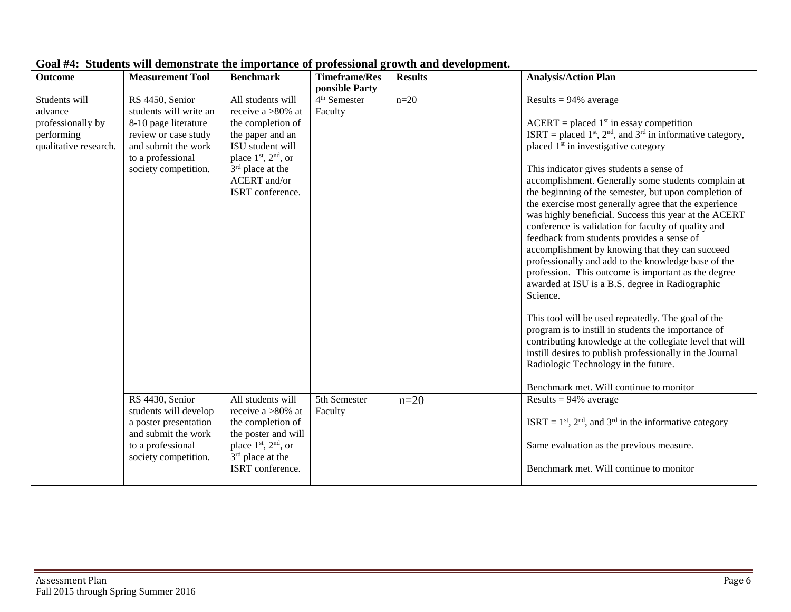| Goal #4: Students will demonstrate the importance of professional growth and development. |                                                                                                                                                               |                                                                                                                                                                                              |                                                       |                |                                                                                                                                                                                                                                                                                                                                                                                                                                                                                                                                                                                                                                                                                            |  |
|-------------------------------------------------------------------------------------------|---------------------------------------------------------------------------------------------------------------------------------------------------------------|----------------------------------------------------------------------------------------------------------------------------------------------------------------------------------------------|-------------------------------------------------------|----------------|--------------------------------------------------------------------------------------------------------------------------------------------------------------------------------------------------------------------------------------------------------------------------------------------------------------------------------------------------------------------------------------------------------------------------------------------------------------------------------------------------------------------------------------------------------------------------------------------------------------------------------------------------------------------------------------------|--|
| <b>Outcome</b>                                                                            | <b>Measurement Tool</b>                                                                                                                                       | <b>Benchmark</b>                                                                                                                                                                             | <b>Timeframe/Res</b>                                  | <b>Results</b> | <b>Analysis/Action Plan</b>                                                                                                                                                                                                                                                                                                                                                                                                                                                                                                                                                                                                                                                                |  |
| Students will<br>advance<br>professionally by<br>performing<br>qualitative research.      | RS 4450, Senior<br>students will write an<br>8-10 page literature<br>review or case study<br>and submit the work<br>to a professional<br>society competition. | All students will<br>receive a $>80\%$ at<br>the completion of<br>the paper and an<br>ISU student will<br>place $1st$ , $2nd$ , or<br>$3rd$ place at the<br>ACERT and/or<br>ISRT conference. | ponsible Party<br>4 <sup>th</sup> Semester<br>Faculty | $n=20$         | Results = $94\%$ average<br>$ACERT = placed 1st$ in essay competition<br>ISRT = placed $1st$ , $2nd$ , and $3rd$ in informative category,<br>placed 1 <sup>st</sup> in investigative category<br>This indicator gives students a sense of<br>accomplishment. Generally some students complain at<br>the beginning of the semester, but upon completion of<br>the exercise most generally agree that the experience<br>was highly beneficial. Success this year at the ACERT<br>conference is validation for faculty of quality and<br>feedback from students provides a sense of<br>accomplishment by knowing that they can succeed<br>professionally and add to the knowledge base of the |  |
|                                                                                           |                                                                                                                                                               |                                                                                                                                                                                              |                                                       |                | profession. This outcome is important as the degree<br>awarded at ISU is a B.S. degree in Radiographic<br>Science.<br>This tool will be used repeatedly. The goal of the<br>program is to instill in students the importance of<br>contributing knowledge at the collegiate level that will<br>instill desires to publish professionally in the Journal<br>Radiologic Technology in the future.<br>Benchmark met. Will continue to monitor                                                                                                                                                                                                                                                 |  |
|                                                                                           | RS 4430, Senior<br>students will develop<br>a poster presentation<br>and submit the work<br>to a professional<br>society competition.                         | All students will<br>receive a $>80\%$ at<br>the completion of<br>the poster and will<br>place 1 <sup>st</sup> , 2 <sup>nd</sup> , or<br>$3rd$ place at the<br>ISRT conference.              | 5th Semester<br>Faculty                               | $n=20$         | Results = $94\%$ average<br>ISRT = $1st$ , $2nd$ , and $3rd$ in the informative category<br>Same evaluation as the previous measure.<br>Benchmark met. Will continue to monitor                                                                                                                                                                                                                                                                                                                                                                                                                                                                                                            |  |

T.